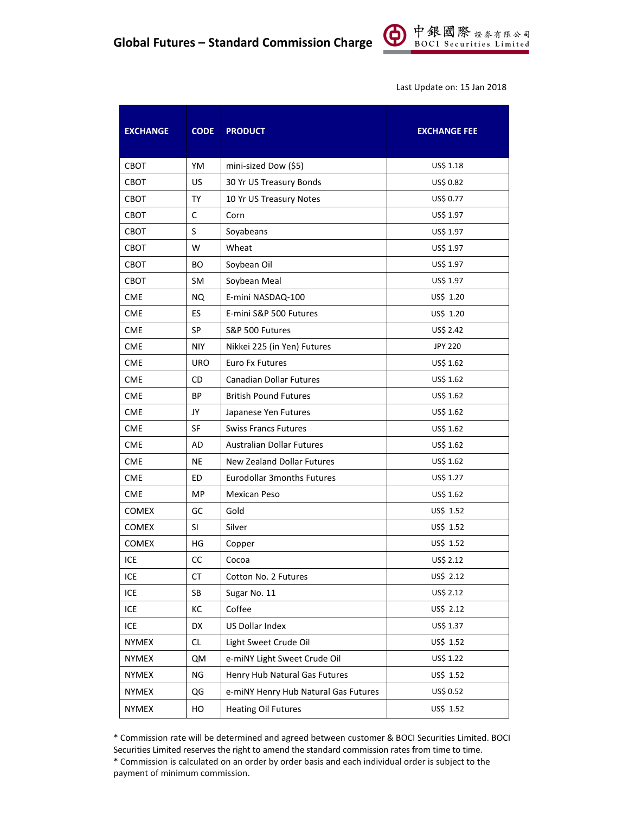

Last Update on: 15 Jan 2018

| <b>EXCHANGE</b> | <b>CODE</b> | <b>PRODUCT</b>                       | <b>EXCHANGE FEE</b> |
|-----------------|-------------|--------------------------------------|---------------------|
| <b>CBOT</b>     | YM          | mini-sized Dow (\$5)                 | US\$ 1.18           |
| CBOT            | US          | 30 Yr US Treasury Bonds              | US\$ 0.82           |
| <b>CBOT</b>     | <b>TY</b>   | 10 Yr US Treasury Notes              | US\$ 0.77           |
| CBOT            | С           | Corn                                 | US\$ 1.97           |
| CBOT            | S           | Soyabeans                            | US\$ 1.97           |
| CBOT            | W           | Wheat                                | US\$ 1.97           |
| CBOT            | BО          | Soybean Oil                          | US\$ 1.97           |
| CBOT            | SM          | Soybean Meal                         | US\$ 1.97           |
| <b>CME</b>      | <b>NQ</b>   | E-mini NASDAQ-100                    | US\$ 1.20           |
| <b>CME</b>      | ES          | E-mini S&P 500 Futures               | US\$ 1.20           |
| <b>CME</b>      | SP          | S&P 500 Futures                      | US\$ 2.42           |
| <b>CME</b>      | <b>NIY</b>  | Nikkei 225 (in Yen) Futures          | <b>JPY 220</b>      |
| <b>CME</b>      | <b>URO</b>  | Euro Fx Futures                      | US\$ 1.62           |
| <b>CME</b>      | CD          | <b>Canadian Dollar Futures</b>       | US\$ 1.62           |
| <b>CME</b>      | BP          | <b>British Pound Futures</b>         | US\$ 1.62           |
| <b>CME</b>      | JY          | Japanese Yen Futures                 | US\$ 1.62           |
| <b>CME</b>      | <b>SF</b>   | <b>Swiss Francs Futures</b>          | US\$ 1.62           |
| <b>CME</b>      | AD          | <b>Australian Dollar Futures</b>     | US\$ 1.62           |
| <b>CME</b>      | NE          | New Zealand Dollar Futures           | US\$ 1.62           |
| <b>CME</b>      | ED.         | <b>Eurodollar 3 months Futures</b>   | US\$ 1.27           |
| <b>CME</b>      | MP          | Mexican Peso                         | US\$ 1.62           |
| <b>COMEX</b>    | GC          | Gold                                 | US\$ 1.52           |
| <b>COMEX</b>    | SI.         | Silver                               | US\$ 1.52           |
| <b>COMEX</b>    | HG          | Copper                               | US\$ 1.52           |
| ICE             | CC          | Cocoa                                | US\$ 2.12           |
| ICE             | СT          | Cotton No. 2 Futures                 | US\$ 2.12           |
| ICE             | SB          | Sugar No. 11                         | US\$ 2.12           |
| ICE             | КC          | Coffee                               | US\$ 2.12           |
| ICE             | DX          | US Dollar Index                      | US\$ 1.37           |
| <b>NYMEX</b>    | CL.         | Light Sweet Crude Oil                | US\$ 1.52           |
| <b>NYMEX</b>    | QM          | e-miNY Light Sweet Crude Oil         | US\$ 1.22           |
| <b>NYMEX</b>    | ΝG          | Henry Hub Natural Gas Futures        | US\$ 1.52           |
| <b>NYMEX</b>    | QG          | e-miNY Henry Hub Natural Gas Futures | US\$ 0.52           |
| <b>NYMEX</b>    | HO          | <b>Heating Oil Futures</b>           | US\$ 1.52           |

\* Commission rate will be determined and agreed between customer & BOCI Securities Limited. BOCI Securities Limited reserves the right to amend the standard commission rates from time to time. \* Commission is calculated on an order by order basis and each individual order is subject to the payment of minimum commission.